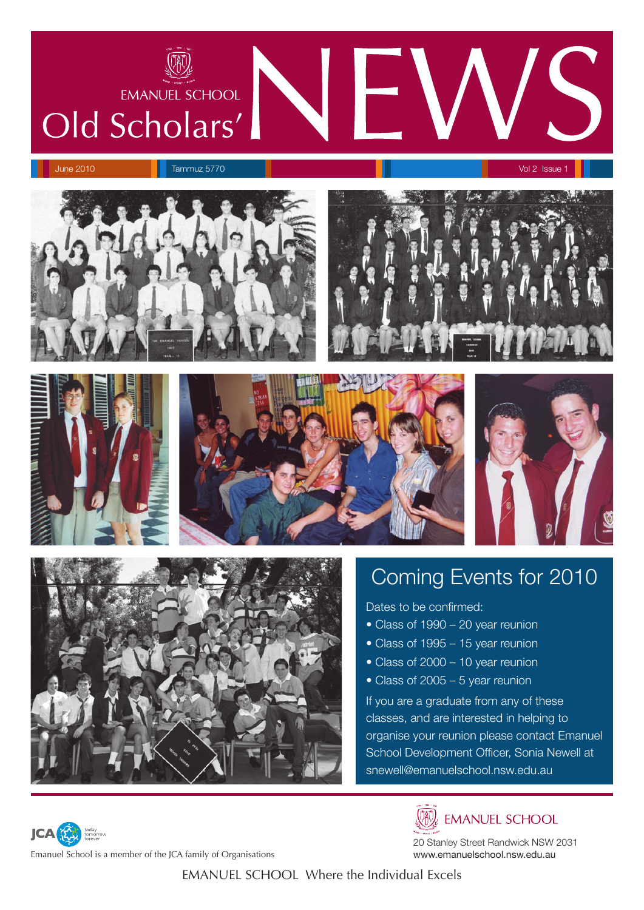

June 2010 **Tammuz 5770 Vol 2 Issue 1 Australian State 1** Australian State 1 Australian State 1 Australian Vol 2 Issue 1









## Coming Events for 2010

Dates to be confirmed:

- Class of 1990 20 year reunion
- Class of 1995 15 year reunion
- Class of 2000 10 year reunion
- Class of 2005 5 year reunion

If you are a graduate from any of these classes, and are interested in helping to organise your reunion please contact Emanuel School Development Officer, Sonia Newell at snewell@emanuelschool.nsw.edu.au



W. EMANUEL SCHOOL

20 Stanley Street Randwick NSW 2031 www.emanuelschool.nsw.edu.au

Emanuel School is a member of the JCA family of Organisations

**JCA**<sup>2</sup>

EMANUEL SCHOOL Where the Individual Excels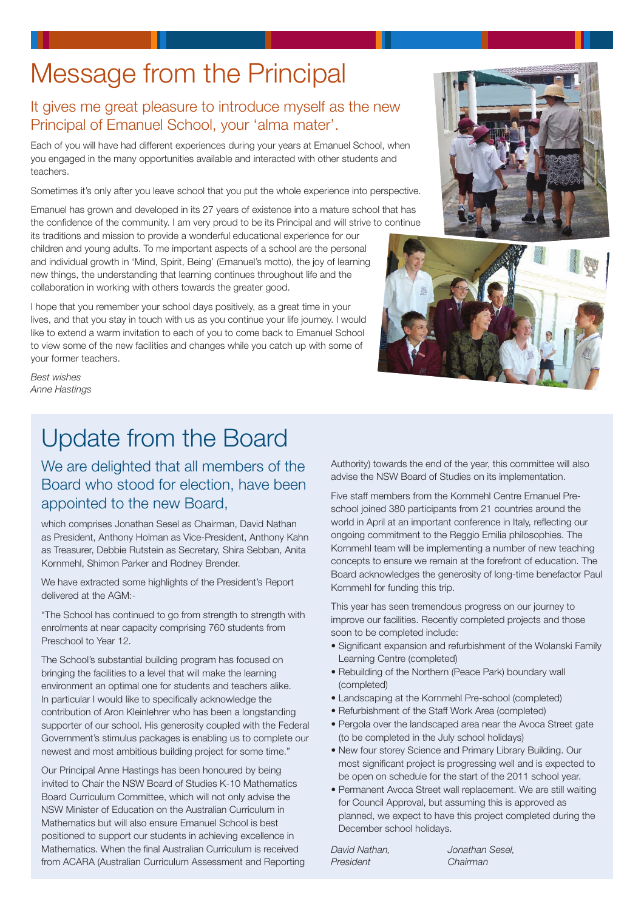# Message from the Principal

#### It gives me great pleasure to introduce myself as the new Principal of Emanuel School, your 'alma mater'.

Each of you will have had different experiences during your years at Emanuel School, when you engaged in the many opportunities available and interacted with other students and teachers

Sometimes it's only after you leave school that you put the whole experience into perspective.

Emanuel has grown and developed in its 27 years of existence into a mature school that has the confidence of the community. I am very proud to be its Principal and will strive to continue

its traditions and mission to provide a wonderful educational experience for our children and young adults. To me important aspects of a school are the personal and individual growth in 'Mind, Spirit, Being' (Emanuel's motto), the joy of learning new things, the understanding that learning continues throughout life and the collaboration in working with others towards the greater good.

I hope that you remember your school days positively, as a great time in your lives, and that you stay in touch with us as you continue your life journey. I would like to extend a warm invitation to each of you to come back to Emanuel School to view some of the new facilities and changes while you catch up with some of your former teachers.





**Best wishes Anne Hastings** 

## **Update from the Board**

We are delighted that all members of the Board who stood for election, have been appointed to the new Board,

which comprises Jonathan Sesel as Chairman, David Nathan as President, Anthony Holman as Vice-President, Anthony Kahn as Treasurer, Debbie Rutstein as Secretary, Shira Sebban, Anita Kornmehl, Shimon Parker and Rodney Brender.

We have extracted some highlights of the President's Report delivered at the AGM:-

"The School has continued to go from strength to strength with enrolments at near capacity comprising 760 students from Preschool to Year 12.

The School's substantial building program has focused on bringing the facilities to a level that will make the learning environment an optimal one for students and teachers alike. In particular I would like to specifically acknowledge the contribution of Aron Kleinlehrer who has been a longstanding supporter of our school. His generosity coupled with the Federal Government's stimulus packages is enabling us to complete our newest and most ambitious building project for some time."

Our Principal Anne Hastings has been honoured by being invited to Chair the NSW Board of Studies K-10 Mathematics Board Curriculum Committee, which will not only advise the NSW Minister of Education on the Australian Curriculum in Mathematics but will also ensure Emanuel School is best positioned to support our students in achieving excellence in Mathematics. When the final Australian Curriculum is received from ACARA (Australian Curriculum Assessment and Reporting Authority) towards the end of the year, this committee will also advise the NSW Board of Studies on its implementation.

Five staff members from the Kornmehl Centre Fmanuel Preschool joined 380 participants from 21 countries around the world in April at an important conference in Italy, reflecting our ongoing commitment to the Reggio Emilia philosophies. The Kornmehl team will be implementing a number of new teaching concepts to ensure we remain at the forefront of education. The Board acknowledges the generosity of long-time benefactor Paul Kornmehl for funding this trip.

This year has seen tremendous progress on our journey to improve our facilities. Recently completed projects and those soon to be completed include:

- Significant expansion and refurbishment of the Wolanski Family Learning Centre (completed)
- Rebuilding of the Northern (Peace Park) boundary wall (completed)
- Landscaping at the Kornmehl Pre-school (completed)
- Refurbishment of the Staff Work Area (completed)
- Pergola over the landscaped area near the Avoca Street gate (to be completed in the July school holidays)
- . New four storey Science and Primary Library Building. Our most significant project is progressing well and is expected to be open on schedule for the start of the 2011 school year.
- Permanent Avoca Street wall replacement. We are still waiting for Council Approval, but assuming this is approved as planned, we expect to have this project completed during the December school holidays.

David Nathan. President

Jonathan Sesel. Chairman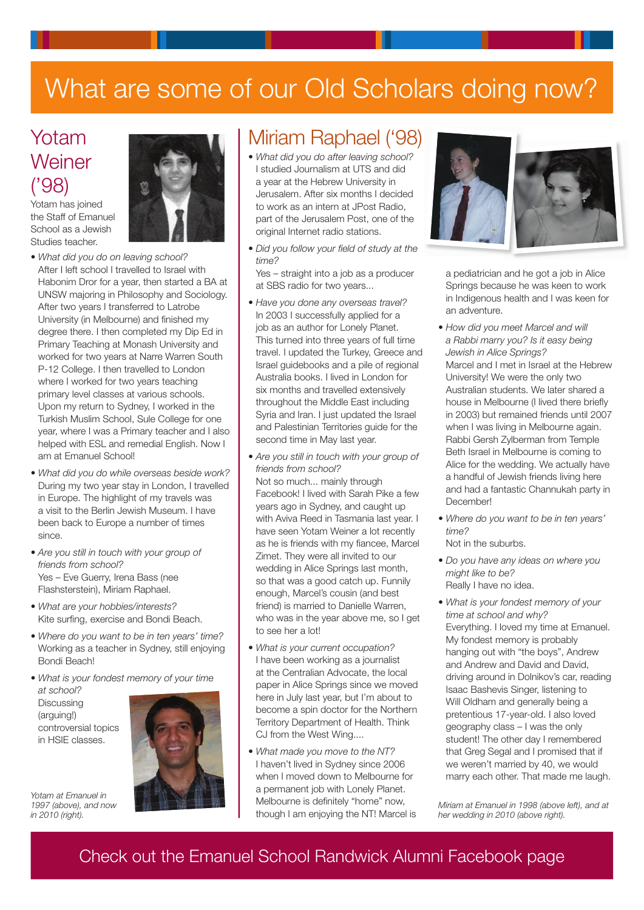# What are some of our Old Scholars doing now?

## Yotam Weiner  $(°98)$

Yotam has joined the Staff of Emanuel School as a Jewish Studies teacher.



- What did you do on leaving school? After I left school I travelled to Israel with Habonim Dror for a year, then started a BA at UNSW majoring in Philosophy and Sociology. After two years I transferred to Latrobe University (in Melbourne) and finished my degree there. I then completed my Dip Ed in Primary Teaching at Monash University and worked for two years at Narre Warren South P-12 College. I then travelled to London where I worked for two years teaching primary level classes at various schools. Upon my return to Sydney, I worked in the Turkish Muslim School, Sule College for one year, where I was a Primary teacher and I also helped with ESL and remedial English. Now I am at Emanuel School!
- What did vou do while overseas beside work? During my two year stay in London, I travelled in Europe. The highlight of my travels was a visit to the Berlin Jewish Museum. I have been back to Europe a number of times since.
- **•** Are you still in touch with your group of *friends from school?* Yes - Eve Guerry, Irena Bass (nee Flashsterstein), Miriam Raphael.
- What are your hobbies/interests? Kite surfing, exercise and Bondi Beach.
- Where do you want to be in ten years' time? Working as a teacher in Sydney, still enjoying Bondi Beach!
- What is your fondest memory of your time at school?

**Discussing** (arguing!) controversial topics in HSIE classes.



Yotam at Emanuel in *1997 (above), and now in 2010 (right).*

### Miriam Raphael ('98)

- What did you do after leaving school? I studied Journalism at UTS and did a year at the Hebrew University in Jerusalem. After six months I decided to work as an intern at JPost Radio, part of the Jerusalem Post, one of the original Internet radio stations.
- Did you follow your field of study at the *Ìi¶*

Yes - straight into a job as a producer at SBS radio for two years...

- Have you done any overseas travel? In 2003 I successfully applied for a job as an author for Lonely Planet. This turned into three years of full time travel. I updated the Turkey, Greece and Israel guidebooks and a pile of regional Australia books. I lived in London for six months and travelled extensively throughout the Middle East including Syria and Iran. I just updated the Israel and Palestinian Territories guide for the second time in May last year.
- Are you still in touch with your group of friends from school? Not so much... mainly through Facebook! I lived with Sarah Pike a few years ago in Sydney, and caught up with Aviva Reed in Tasmania last year. I have seen Yotam Weiner a lot recently as he is friends with my fiancee, Marcel Zimet. They were all invited to our wedding in Alice Springs last month, so that was a good catch up. Funnily enough, Marcel's cousin (and best friend) is married to Danielle Warren, who was in the year above me, so I get to see her a lot!
- What is your current occupation? I have been working as a journalist at the Centralian Advocate, the local paper in Alice Springs since we moved here in July last year, but I'm about to become a spin doctor for the Northern Territory Department of Health. Think CJ from the West Wing....
- What made you move to the NT? I haven't lived in Sydney since 2006 when I moved down to Melbourne for a permanent job with Lonely Planet. Melbourne is definitely "home" now, though I am enjoying the NT! Marcel is



a pediatrician and he got a job in Alice Springs because he was keen to work in Indigenous health and I was keen for an adventure.

- How did you meet Marcel and will  $a$  Rabbi marry you? Is it easy being *<i>Jewish in Alice Springs?* Marcel and I met in Israel at the Hebrew University! We were the only two Australian students. We later shared a house in Melbourne (I lived there briefly in 2003) but remained friends until 2007 when I was living in Melbourne again. Rabbi Gersh Zylberman from Temple Beth Israel in Melbourne is coming to Alice for the wedding. We actually have a handful of Jewish friends living here and had a fantastic Channukah party in December!
- Where do you want to be in ten years' *Ìi¶*

Not in the suburbs.

- Do you have any ideas on where you might like to be? Really I have no idea.
- What is your fondest memory of your *ime at school and why?* Everything. I loved my time at Emanuel. My fondest memory is probably hanging out with "the boys", Andrew and Andrew and David and David, driving around in Dolnikov's car, reading Isaac Bashevis Singer, listening to Will Oldham and generally being a pretentious 17-year-old. I also loved geography class - I was the only student! The other day I remembered that Greg Segal and I promised that if we weren't married by 40, we would marry each other. That made me laugh.

*Miriam at Emanuel in 1998 (above left), and at her wedding in 2010 (above right).*

### Check out the Emanuel School Randwick Alumni Facebook page